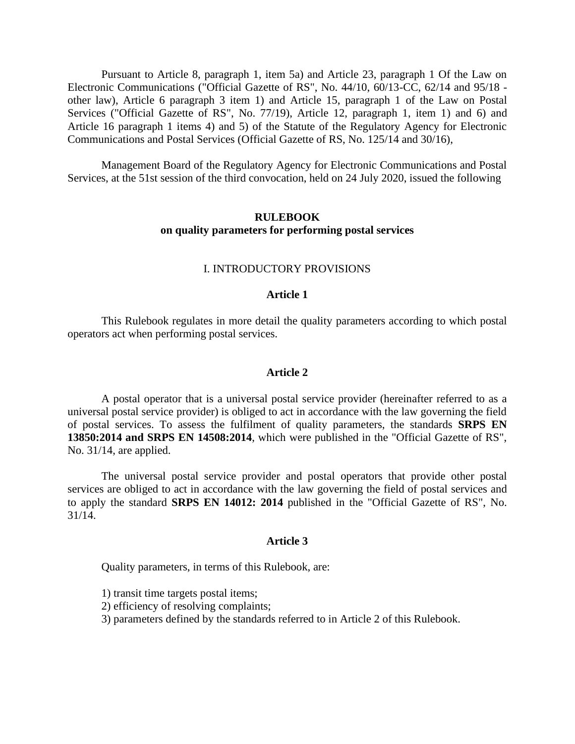Pursuant to Article 8, paragraph 1, item 5a) and Article 23, paragraph 1 Of the Law on Electronic Communications ("Official Gazette of RS", No. 44/10, 60/13-CC, 62/14 and 95/18 other law), Article 6 paragraph 3 item 1) and Article 15, paragraph 1 of the Law on Postal Services ("Official Gazette of RS", No. 77/19), Article 12, paragraph 1, item 1) and 6) and Article 16 paragraph 1 items 4) and 5) of the Statute of the Regulatory Agency for Electronic Communications and Postal Services (Official Gazette of RS, No. 125/14 and 30/16),

Management Board of the Regulatory Agency for Electronic Communications and Postal Services, at the 51st session of the third convocation, held on 24 July 2020, issued the following

# **RULEBOOK on quality parameters for performing postal services**

#### I. INTRODUCTORY PROVISIONS

### **Article 1**

This Rulebook regulates in more detail the quality parameters according to which postal operators act when performing postal services.

#### **Article 2**

A postal operator that is a universal postal service provider (hereinafter referred to as a universal postal service provider) is obliged to act in accordance with the law governing the field of postal services. To assess the fulfilment of quality parameters, the standards **SRPS EN 13850:2014 and SRPS EN 14508:2014**, which were published in the "Official Gazette of RS", No. 31/14, are applied.

The universal postal service provider and postal operators that provide other postal services are obliged to act in accordance with the law governing the field of postal services and to apply the standard **SRPS EN 14012: 2014** published in the "Official Gazette of RS", No. 31/14.

#### **Article 3**

Quality parameters, in terms of this Rulebook, are:

1) transit time targets postal items;

2) efficiency of resolving complaints;

3) parameters defined by the standards referred to in Article 2 of this Rulebook.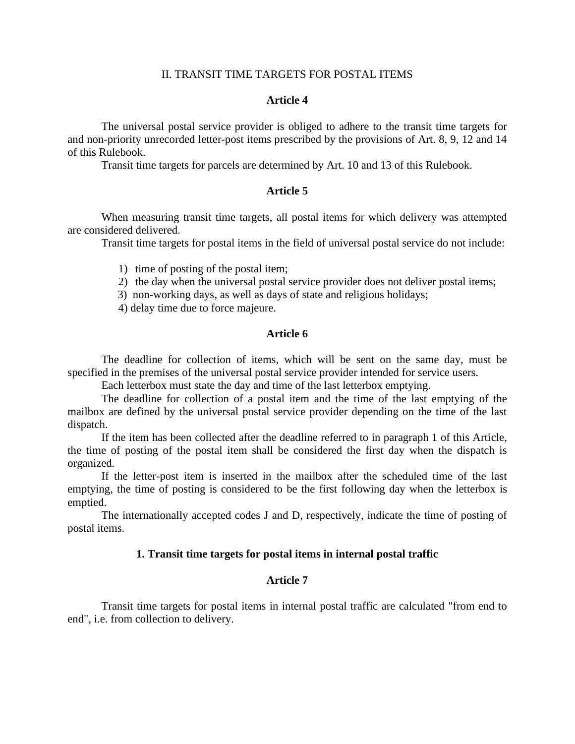#### II. TRANSIT TIME TARGETS FOR POSTAL ITEMS

### **Article 4**

The universal postal service provider is obliged to adhere to the transit time targets for and non-priority unrecorded letter-post items prescribed by the provisions of Art. 8, 9, 12 and 14 of this Rulebook.

Transit time targets for parcels are determined by Art. 10 and 13 of this Rulebook.

## **Article 5**

When measuring transit time targets, all postal items for which delivery was attempted are considered delivered.

Transit time targets for postal items in the field of universal postal service do not include:

- 1) time of posting of the postal item;
- 2) the day when the universal postal service provider does not deliver postal items;

3) non-working days, as well as days of state and religious holidays;

4) delay time due to force majeure.

### **Article 6**

The deadline for collection of items, which will be sent on the same day, must be specified in the premises of the universal postal service provider intended for service users.

Each letterbox must state the day and time of the last letterbox emptying.

The deadline for collection of a postal item and the time of the last emptying of the mailbox are defined by the universal postal service provider depending on the time of the last dispatch.

If the item has been collected after the deadline referred to in paragraph 1 of this Article, the time of posting of the postal item shall be considered the first day when the dispatch is organized.

If the letter-post item is inserted in the mailbox after the scheduled time of the last emptying, the time of posting is considered to be the first following day when the letterbox is emptied.

The internationally accepted codes J and D, respectively, indicate the time of posting of postal items.

#### **1. Transit time targets for postal items in internal postal traffic**

### **Article 7**

Transit time targets for postal items in internal postal traffic are calculated "from end to end", i.e. from collection to delivery.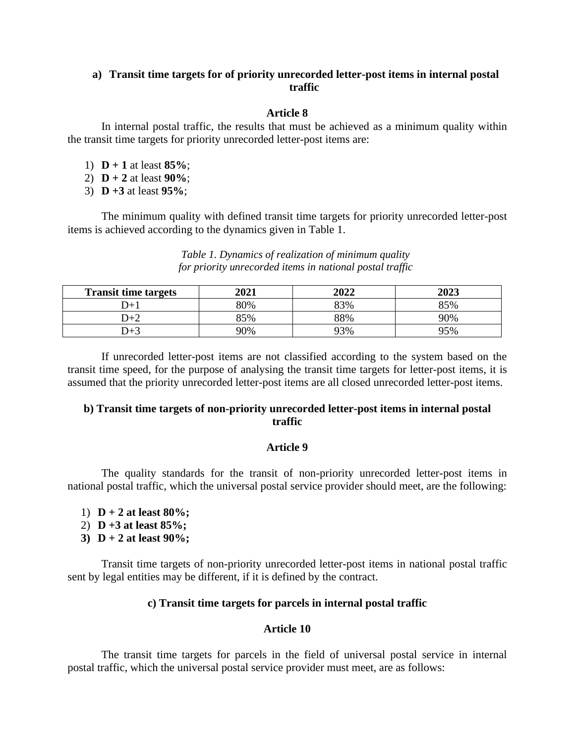# **a) Transit time targets for of priority unrecorded letter-post items in internal postal traffic**

# **Article 8**

In internal postal traffic, the results that must be achieved as a minimum quality within the transit time targets for priority unrecorded letter-post items are:

- 1) **D + 1** at least **85%**;
- 2) **D + 2** at least **90%**;
- 3) **D +3** at least **95%**;

The minimum quality with defined transit time targets for priority unrecorded letter-post items is achieved according to the dynamics given in Table 1.

*Table 1. Dynamics of realization of minimum quality for priority unrecorded items in national postal traffic*

| <b>Transit time targets</b> | 2021 | 2022 | 2023 |
|-----------------------------|------|------|------|
| $+C$                        | 80%  | 33%  | 85%  |
| D+2                         | 85%  | 88%  | 90%  |
| $J+$                        | 90%  | 93%  | 95%  |

If unrecorded letter-post items are not classified according to the system based on the transit time speed, for the purpose of analysing the transit time targets for letter-post items, it is assumed that the priority unrecorded letter-post items are all closed unrecorded letter-post items.

# **b) Transit time targets of non-priority unrecorded letter-post items in internal postal traffic**

# **Article 9**

The quality standards for the transit of non-priority unrecorded letter-post items in national postal traffic, which the universal postal service provider should meet, are the following:

- 1) **D + 2 at least 80%;**
- 2) **D +3 at least 85%;**
- **3) D + 2 at least 90%;**

Transit time targets of non-priority unrecorded letter-post items in national postal traffic sent by legal entities may be different, if it is defined by the contract.

# **c) Transit time targets for parcels in internal postal traffic**

# **Article 10**

The transit time targets for parcels in the field of universal postal service in internal postal traffic, which the universal postal service provider must meet, are as follows: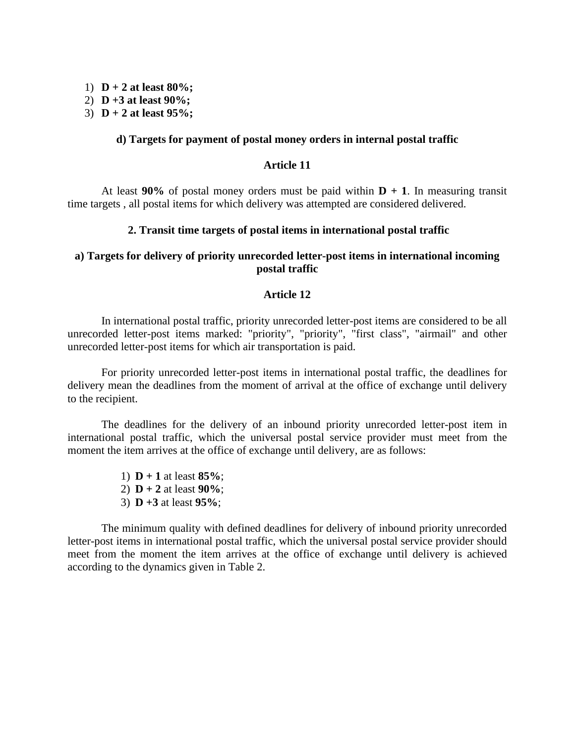- 1) **D + 2 at least 80%;**
- 2) **D +3 at least 90%;**
- 3) **D + 2 at least 95%;**

### **d) Targets for payment of postal money orders in internal postal traffic**

# **Article 11**

At least  $90\%$  of postal money orders must be paid within  $D + 1$ . In measuring transit time targets , all postal items for which delivery was attempted are considered delivered.

### **2. Transit time targets of postal items in international postal traffic**

# **a) Targets for delivery of priority unrecorded letter-post items in international incoming postal traffic**

### **Article 12**

In international postal traffic, priority unrecorded letter-post items are considered to be all unrecorded letter-post items marked: "priority", "priority", "first class", "airmail" and other unrecorded letter-post items for which air transportation is paid.

For priority unrecorded letter-post items in international postal traffic, the deadlines for delivery mean the deadlines from the moment of arrival at the office of exchange until delivery to the recipient.

The deadlines for the delivery of an inbound priority unrecorded letter-post item in international postal traffic, which the universal postal service provider must meet from the moment the item arrives at the office of exchange until delivery, are as follows:

- 1) **D + 1** at least **85%**;
- 2) **D + 2** at least **90%**;
- 3) **D +3** at least **95%**;

The minimum quality with defined deadlines for delivery of inbound priority unrecorded letter-post items in international postal traffic, which the universal postal service provider should meet from the moment the item arrives at the office of exchange until delivery is achieved according to the dynamics given in Table 2.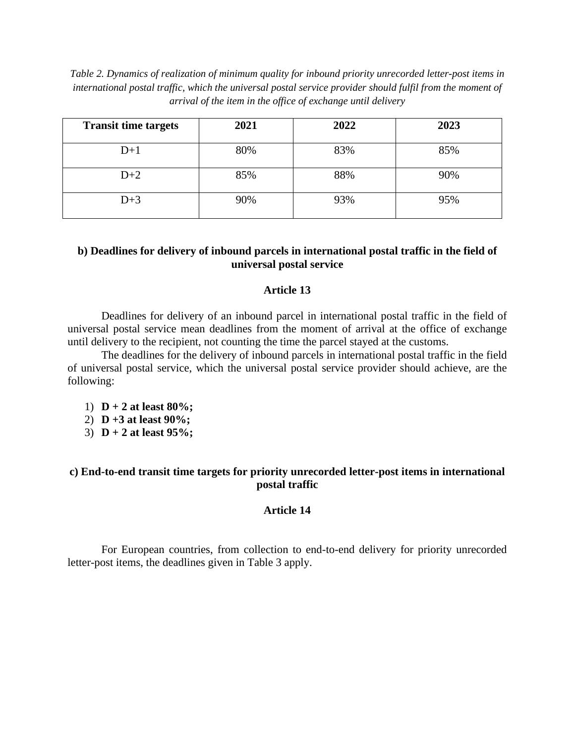*Table 2. Dynamics of realization of minimum quality for inbound priority unrecorded letter-post items in international postal traffic, which the universal postal service provider should fulfil from the moment of arrival of the item in the office of exchange until delivery*

| <b>Transit time targets</b> | 2021 | 2022 | 2023 |
|-----------------------------|------|------|------|
| $D+1$                       | 80%  | 83%  | 85%  |
| $D+2$                       | 85%  | 88%  | 90%  |
| $D+3$                       | 90%  | 93%  | 95%  |

# **b) Deadlines for delivery of inbound parcels in international postal traffic in the field of universal postal service**

# **Article 13**

Deadlines for delivery of an inbound parcel in international postal traffic in the field of universal postal service mean deadlines from the moment of arrival at the office of exchange until delivery to the recipient, not counting the time the parcel stayed at the customs.

The deadlines for the delivery of inbound parcels in international postal traffic in the field of universal postal service, which the universal postal service provider should achieve, are the following:

- 1) **D + 2 at least 80%;**
- 2) **D +3 at least 90%;**
- 3) **D + 2 at least 95%;**

# **c) End-to-end transit time targets for priority unrecorded letter-post items in international postal traffic**

# **Article 14**

For European countries, from collection to end-to-end delivery for priority unrecorded letter-post items, the deadlines given in Table 3 apply.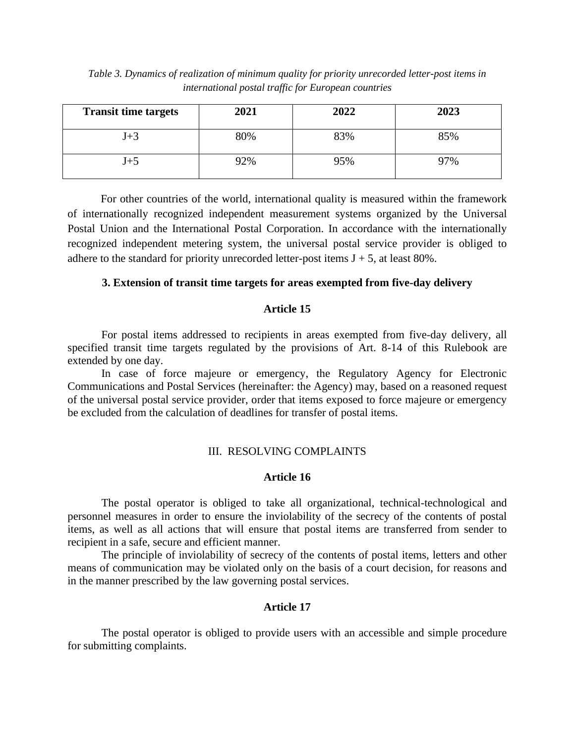| Table 3. Dynamics of realization of minimum quality for priority unrecorded letter-post items in |  |  |
|--------------------------------------------------------------------------------------------------|--|--|
| international postal traffic for European countries                                              |  |  |

| <b>Transit time targets</b> | 2021 | 2022 | 2023 |
|-----------------------------|------|------|------|
| $J+3$                       | 80%  | 83%  | 85%  |
| $_{\rm J+5}$                | 92%  | 95%  | 97%  |

For other countries of the world, international quality is measured within the framework of internationally recognized independent measurement systems organized by the Universal Postal Union and the International Postal Corporation. In accordance with the internationally recognized independent metering system, the universal postal service provider is obliged to adhere to the standard for priority unrecorded letter-post items  $J + 5$ , at least 80%.

### **3. Extension of transit time targets for areas exempted from five-day delivery**

#### **Article 15**

For postal items addressed to recipients in areas exempted from five-day delivery, all specified transit time targets regulated by the provisions of Art. 8-14 of this Rulebook are extended by one day.

In case of force majeure or emergency, the Regulatory Agency for Electronic Communications and Postal Services (hereinafter: the Agency) may, based on a reasoned request of the universal postal service provider, order that items exposed to force majeure or emergency be excluded from the calculation of deadlines for transfer of postal items.

### III. RESOLVING COMPLAINTS

## **Article 16**

The postal operator is obliged to take all organizational, technical-technological and personnel measures in order to ensure the inviolability of the secrecy of the contents of postal items, as well as all actions that will ensure that postal items are transferred from sender to recipient in a safe, secure and efficient manner.

The principle of inviolability of secrecy of the contents of postal items, letters and other means of communication may be violated only on the basis of a court decision, for reasons and in the manner prescribed by the law governing postal services.

### **Article 17**

The postal operator is obliged to provide users with an accessible and simple procedure for submitting complaints.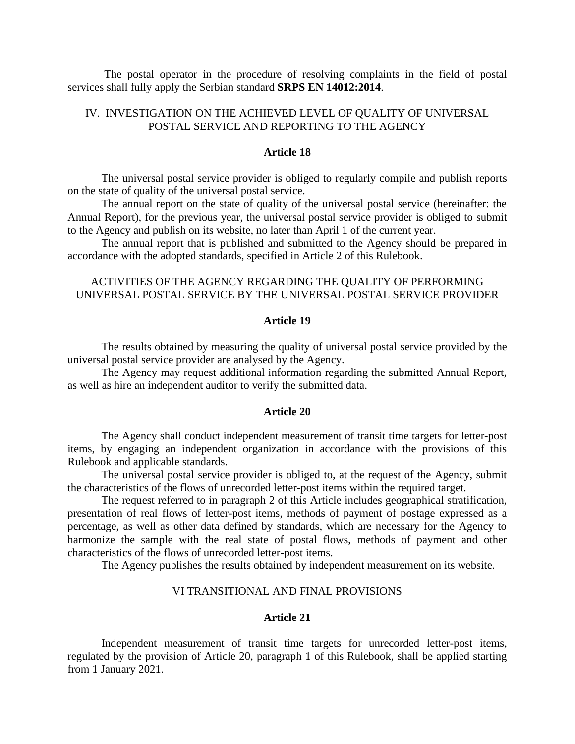The postal operator in the procedure of resolving complaints in the field of postal services shall fully apply the Serbian standard **SRPS EN 14012:2014**.

# IV. INVESTIGATION ON THE ACHIEVED LEVEL OF QUALITY OF UNIVERSAL POSTAL SERVICE AND REPORTING TO THE AGENCY

#### **Article 18**

The universal postal service provider is obliged to regularly compile and publish reports on the state of quality of the universal postal service.

The annual report on the state of quality of the universal postal service (hereinafter: the Annual Report), for the previous year, the universal postal service provider is obliged to submit to the Agency and publish on its website, no later than April 1 of the current year.

The annual report that is published and submitted to the Agency should be prepared in accordance with the adopted standards, specified in Article 2 of this Rulebook.

# ACTIVITIES OF THE AGENCY REGARDING THE QUALITY OF PERFORMING UNIVERSAL POSTAL SERVICE BY THE UNIVERSAL POSTAL SERVICE PROVIDER

### **Article 19**

The results obtained by measuring the quality of universal postal service provided by the universal postal service provider are analysed by the Agency.

The Agency may request additional information regarding the submitted Annual Report, as well as hire an independent auditor to verify the submitted data.

#### **Article 20**

The Agency shall conduct independent measurement of transit time targets for letter-post items, by engaging an independent organization in accordance with the provisions of this Rulebook and applicable standards.

The universal postal service provider is obliged to, at the request of the Agency, submit the characteristics of the flows of unrecorded letter-post items within the required target.

The request referred to in paragraph 2 of this Article includes geographical stratification, presentation of real flows of letter-post items, methods of payment of postage expressed as a percentage, as well as other data defined by standards, which are necessary for the Agency to harmonize the sample with the real state of postal flows, methods of payment and other characteristics of the flows of unrecorded letter-post items.

The Agency publishes the results obtained by independent measurement on its website.

## VI TRANSITIONAL AND FINAL PROVISIONS

### **Article 21**

Independent measurement of transit time targets for unrecorded letter-post items, regulated by the provision of Article 20, paragraph 1 of this Rulebook, shall be applied starting from 1 January 2021.